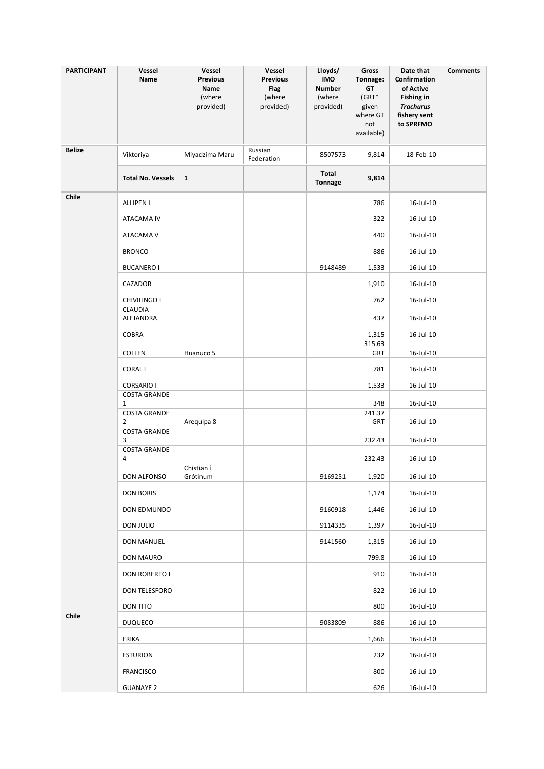| <b>PARTICIPANT</b> | Vessel<br>Name                      | Vessel<br><b>Previous</b><br>Name<br>(where<br>provided) | Vessel<br><b>Previous</b><br>Flag<br>(where<br>provided) | Lloyds/<br><b>IMO</b><br><b>Number</b><br>(where<br>provided) | Gross<br>Tonnage:<br>GT<br>$(GRT*$<br>given<br>where GT<br>not<br>available) | Date that<br>Confirmation<br>of Active<br><b>Fishing in</b><br><b>Trachurus</b><br>fishery sent<br>to SPRFMO | <b>Comments</b> |
|--------------------|-------------------------------------|----------------------------------------------------------|----------------------------------------------------------|---------------------------------------------------------------|------------------------------------------------------------------------------|--------------------------------------------------------------------------------------------------------------|-----------------|
| <b>Belize</b>      | Viktoriya                           | Miyadzima Maru                                           | Russian<br>Federation                                    | 8507573                                                       | 9,814                                                                        | 18-Feb-10                                                                                                    |                 |
|                    | <b>Total No. Vessels</b>            | $\mathbf{1}$                                             |                                                          | Total<br>Tonnage                                              | 9,814                                                                        |                                                                                                              |                 |
| Chile              | <b>ALLIPEN I</b>                    |                                                          |                                                          |                                                               | 786                                                                          | 16-Jul-10                                                                                                    |                 |
|                    | ATACAMA IV                          |                                                          |                                                          |                                                               | 322                                                                          | 16-Jul-10                                                                                                    |                 |
|                    | ATACAMA V                           |                                                          |                                                          |                                                               | 440                                                                          | 16-Jul-10                                                                                                    |                 |
|                    | <b>BRONCO</b>                       |                                                          |                                                          |                                                               | 886                                                                          | 16-Jul-10                                                                                                    |                 |
|                    | <b>BUCANERO I</b>                   |                                                          |                                                          | 9148489                                                       | 1,533                                                                        | 16-Jul-10                                                                                                    |                 |
|                    | CAZADOR                             |                                                          |                                                          |                                                               | 1,910                                                                        | 16-Jul-10                                                                                                    |                 |
|                    | CHIVILINGO I                        |                                                          |                                                          |                                                               | 762                                                                          | $16$ -Jul- $10$                                                                                              |                 |
|                    | CLAUDIA<br>ALEJANDRA                |                                                          |                                                          |                                                               | 437                                                                          | 16-Jul-10                                                                                                    |                 |
|                    | COBRA                               |                                                          |                                                          |                                                               | 1,315                                                                        | 16-Jul-10                                                                                                    |                 |
|                    | COLLEN                              | Huanuco 5                                                |                                                          |                                                               | 315.63<br><b>GRT</b>                                                         | 16-Jul-10                                                                                                    |                 |
|                    | <b>CORALI</b>                       |                                                          |                                                          |                                                               | 781                                                                          | 16-Jul-10                                                                                                    |                 |
|                    | <b>CORSARIO I</b>                   |                                                          |                                                          |                                                               | 1,533                                                                        | 16-Jul-10                                                                                                    |                 |
|                    | <b>COSTA GRANDE</b><br>$\mathbf{1}$ |                                                          |                                                          |                                                               | 348                                                                          | 16-Jul-10                                                                                                    |                 |
|                    | <b>COSTA GRANDE</b><br>2            | Arequipa 8                                               |                                                          |                                                               | 241.37<br>GRT                                                                | 16-Jul-10                                                                                                    |                 |
|                    | <b>COSTA GRANDE</b><br>3            |                                                          |                                                          |                                                               | 232.43                                                                       | 16-Jul-10                                                                                                    |                 |
|                    | <b>COSTA GRANDE</b>                 |                                                          |                                                          |                                                               |                                                                              |                                                                                                              |                 |
|                    | 4                                   | Chistian í                                               |                                                          |                                                               | 232.43                                                                       | 16-Jul-10                                                                                                    |                 |
|                    | DON ALFONSO                         | Grótinum                                                 |                                                          | 9169251                                                       | 1,920                                                                        | 16-Jul-10                                                                                                    |                 |
|                    | <b>DON BORIS</b>                    |                                                          |                                                          |                                                               | 1,174                                                                        | $16$ -Jul- $10$                                                                                              |                 |
|                    | DON EDMUNDO                         |                                                          |                                                          | 9160918                                                       | 1,446                                                                        | $16$ -Jul- $10$                                                                                              |                 |
|                    | DON JULIO                           |                                                          |                                                          | 9114335                                                       | 1,397                                                                        | $16$ -Jul- $10$                                                                                              |                 |
|                    | DON MANUEL                          |                                                          |                                                          | 9141560                                                       | 1,315                                                                        | $16$ -Jul- $10$                                                                                              |                 |
|                    | DON MAURO                           |                                                          |                                                          |                                                               | 799.8                                                                        | 16-Jul-10                                                                                                    |                 |
|                    | DON ROBERTO I                       |                                                          |                                                          |                                                               | 910                                                                          | $16$ -Jul- $10$                                                                                              |                 |
|                    | DON TELESFORO                       |                                                          |                                                          |                                                               | 822                                                                          | 16-Jul-10                                                                                                    |                 |
|                    | DON TITO                            |                                                          |                                                          |                                                               | 800                                                                          | 16-Jul-10                                                                                                    |                 |
| Chile              | DUQUECO                             |                                                          |                                                          | 9083809                                                       | 886                                                                          | 16-Jul-10                                                                                                    |                 |
|                    | ERIKA                               |                                                          |                                                          |                                                               | 1,666                                                                        | 16-Jul-10                                                                                                    |                 |
|                    | <b>ESTURION</b>                     |                                                          |                                                          |                                                               | 232                                                                          | 16-Jul-10                                                                                                    |                 |
|                    | FRANCISCO                           |                                                          |                                                          |                                                               | 800                                                                          | 16-Jul-10                                                                                                    |                 |
|                    | <b>GUANAYE 2</b>                    |                                                          |                                                          |                                                               | 626                                                                          | 16-Jul-10                                                                                                    |                 |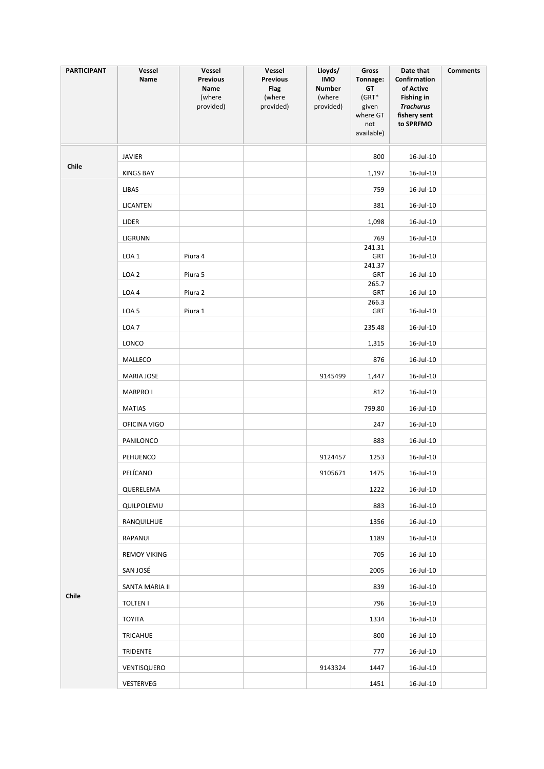| <b>PARTICIPANT</b> | Vessel<br>Name      | Vessel<br><b>Previous</b><br>Name<br>(where<br>provided) | Vessel<br><b>Previous</b><br><b>Flag</b><br>(where<br>provided) | Lloyds/<br><b>IMO</b><br><b>Number</b><br>(where<br>provided) | <b>Gross</b><br>Tonnage:<br>GT<br>(GRT*<br>given<br>where GT<br>not<br>available) | Date that<br>Confirmation<br>of Active<br><b>Fishing in</b><br><b>Trachurus</b><br>fishery sent<br>to SPRFMO | <b>Comments</b> |
|--------------------|---------------------|----------------------------------------------------------|-----------------------------------------------------------------|---------------------------------------------------------------|-----------------------------------------------------------------------------------|--------------------------------------------------------------------------------------------------------------|-----------------|
|                    | <b>JAVIER</b>       |                                                          |                                                                 |                                                               | 800                                                                               | 16-Jul-10                                                                                                    |                 |
| Chile              | <b>KINGS BAY</b>    |                                                          |                                                                 |                                                               | 1,197                                                                             | 16-Jul-10                                                                                                    |                 |
|                    | LIBAS               |                                                          |                                                                 |                                                               | 759                                                                               | 16-Jul-10                                                                                                    |                 |
|                    | LICANTEN            |                                                          |                                                                 |                                                               | 381                                                                               | 16-Jul-10                                                                                                    |                 |
|                    | LIDER               |                                                          |                                                                 |                                                               | 1,098                                                                             | 16-Jul-10                                                                                                    |                 |
|                    | LIGRUNN             |                                                          |                                                                 |                                                               | 769                                                                               | 16-Jul-10                                                                                                    |                 |
|                    | LOA <sub>1</sub>    | Piura 4                                                  |                                                                 |                                                               | 241.31<br>GRT                                                                     | 16-Jul-10                                                                                                    |                 |
|                    | LOA <sub>2</sub>    | Piura 5                                                  |                                                                 |                                                               | 241.37<br>GRT                                                                     | 16-Jul-10                                                                                                    |                 |
|                    |                     |                                                          |                                                                 |                                                               | 265.7                                                                             |                                                                                                              |                 |
|                    | LOA4                | Piura 2                                                  |                                                                 |                                                               | GRT<br>266.3                                                                      | 16-Jul-10                                                                                                    |                 |
|                    | LOA <sub>5</sub>    | Piura 1                                                  |                                                                 |                                                               | GRT                                                                               | 16-Jul-10                                                                                                    |                 |
|                    | LOA <sub>7</sub>    |                                                          |                                                                 |                                                               | 235.48                                                                            | 16-Jul-10                                                                                                    |                 |
|                    | LONCO               |                                                          |                                                                 |                                                               | 1,315                                                                             | 16-Jul-10                                                                                                    |                 |
|                    | MALLECO             |                                                          |                                                                 |                                                               | 876                                                                               | 16-Jul-10                                                                                                    |                 |
|                    | MARIA JOSE          |                                                          |                                                                 | 9145499                                                       | 1,447                                                                             | 16-Jul-10                                                                                                    |                 |
|                    | <b>MARPRO I</b>     |                                                          |                                                                 |                                                               | 812                                                                               | 16-Jul-10                                                                                                    |                 |
|                    | <b>MATIAS</b>       |                                                          |                                                                 |                                                               | 799.80                                                                            | 16-Jul-10                                                                                                    |                 |
|                    | OFICINA VIGO        |                                                          |                                                                 |                                                               | 247                                                                               | 16-Jul-10                                                                                                    |                 |
|                    | PANILONCO           |                                                          |                                                                 |                                                               | 883                                                                               | 16-Jul-10                                                                                                    |                 |
|                    | PEHUENCO            |                                                          |                                                                 | 9124457                                                       | 1253                                                                              | 16-Jul-10                                                                                                    |                 |
|                    | PELÍCANO            |                                                          |                                                                 | 9105671                                                       | 1475                                                                              | $16$ -Jul- $10$                                                                                              |                 |
|                    | QUERELEMA           |                                                          |                                                                 |                                                               | 1222                                                                              | 16-Jul-10                                                                                                    |                 |
|                    | QUILPOLEMU          |                                                          |                                                                 |                                                               | 883                                                                               | 16-Jul-10                                                                                                    |                 |
|                    | RANQUILHUE          |                                                          |                                                                 |                                                               | 1356                                                                              | $16$ -Jul- $10$                                                                                              |                 |
|                    | RAPANUI             |                                                          |                                                                 |                                                               | 1189                                                                              | 16-Jul-10                                                                                                    |                 |
|                    | <b>REMOY VIKING</b> |                                                          |                                                                 |                                                               | 705                                                                               | 16-Jul-10                                                                                                    |                 |
|                    | SAN JOSÉ            |                                                          |                                                                 |                                                               | 2005                                                                              | 16-Jul-10                                                                                                    |                 |
| Chile              | SANTA MARIA II      |                                                          |                                                                 |                                                               | 839                                                                               | 16-Jul-10                                                                                                    |                 |
|                    | <b>TOLTEN I</b>     |                                                          |                                                                 |                                                               | 796                                                                               | 16-Jul-10                                                                                                    |                 |
|                    | TOYITA              |                                                          |                                                                 |                                                               | 1334                                                                              | 16-Jul-10                                                                                                    |                 |
|                    | TRICAHUE            |                                                          |                                                                 |                                                               | 800                                                                               | 16-Jul-10                                                                                                    |                 |
|                    | TRIDENTE            |                                                          |                                                                 |                                                               | 777                                                                               | $16$ -Jul- $10$                                                                                              |                 |
|                    | VENTISQUERO         |                                                          |                                                                 | 9143324                                                       | 1447                                                                              | 16-Jul-10                                                                                                    |                 |
|                    | VESTERVEG           |                                                          |                                                                 |                                                               | 1451                                                                              | 16-Jul-10                                                                                                    |                 |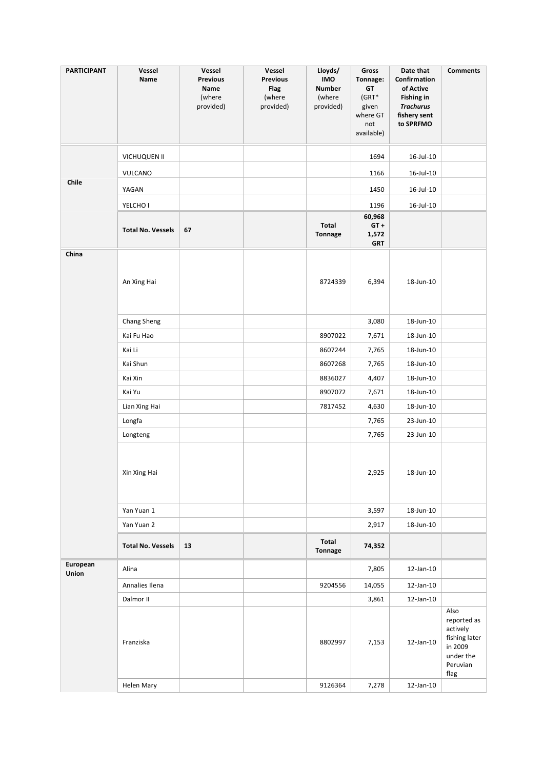| <b>PARTICIPANT</b> | Vessel<br>Name           | Vessel<br><b>Previous</b><br>Name<br>(where<br>provided) | Vessel<br><b>Previous</b><br>Flag<br>(where<br>provided) | Lloyds/<br><b>IMO</b><br><b>Number</b><br>(where<br>provided) | Gross<br>Tonnage:<br>GT<br>(GRT*<br>given<br>where GT<br>not<br>available) | Date that<br>Confirmation<br>of Active<br><b>Fishing in</b><br><b>Trachurus</b><br>fishery sent<br>to SPRFMO | <b>Comments</b>                                                                              |
|--------------------|--------------------------|----------------------------------------------------------|----------------------------------------------------------|---------------------------------------------------------------|----------------------------------------------------------------------------|--------------------------------------------------------------------------------------------------------------|----------------------------------------------------------------------------------------------|
|                    | VICHUQUEN II             |                                                          |                                                          |                                                               | 1694                                                                       | 16-Jul-10                                                                                                    |                                                                                              |
|                    | VULCANO                  |                                                          |                                                          |                                                               | 1166                                                                       | 16-Jul-10                                                                                                    |                                                                                              |
| Chile              | YAGAN                    |                                                          |                                                          |                                                               | 1450                                                                       | $16$ -Jul- $10$                                                                                              |                                                                                              |
|                    | YELCHO I                 |                                                          |                                                          |                                                               | 1196                                                                       | $16$ -Jul- $10$                                                                                              |                                                                                              |
|                    | <b>Total No. Vessels</b> | 67                                                       |                                                          | Total<br><b>Tonnage</b>                                       | 60,968<br>$GT +$<br>1,572<br><b>GRT</b>                                    |                                                                                                              |                                                                                              |
| China              | An Xing Hai              |                                                          |                                                          | 8724339                                                       | 6,394                                                                      | 18-Jun-10                                                                                                    |                                                                                              |
|                    | <b>Chang Sheng</b>       |                                                          |                                                          |                                                               | 3,080                                                                      | 18-Jun-10                                                                                                    |                                                                                              |
|                    | Kai Fu Hao               |                                                          |                                                          | 8907022                                                       | 7,671                                                                      | 18-Jun-10                                                                                                    |                                                                                              |
|                    | Kai Li                   |                                                          |                                                          | 8607244                                                       | 7,765                                                                      | 18-Jun-10                                                                                                    |                                                                                              |
|                    | Kai Shun                 |                                                          |                                                          | 8607268                                                       | 7,765                                                                      | 18-Jun-10                                                                                                    |                                                                                              |
|                    | Kai Xin                  |                                                          |                                                          | 8836027                                                       | 4,407                                                                      | 18-Jun-10                                                                                                    |                                                                                              |
|                    | Kai Yu                   |                                                          |                                                          | 8907072                                                       | 7,671                                                                      | 18-Jun-10                                                                                                    |                                                                                              |
|                    | Lian Xing Hai            |                                                          |                                                          | 7817452                                                       | 4,630                                                                      | 18-Jun-10                                                                                                    |                                                                                              |
|                    | Longfa                   |                                                          |                                                          |                                                               | 7,765                                                                      | 23-Jun-10                                                                                                    |                                                                                              |
|                    | Longteng                 |                                                          |                                                          |                                                               | 7,765                                                                      | 23-Jun-10                                                                                                    |                                                                                              |
|                    | Xin Xing Hai             |                                                          |                                                          |                                                               | 2,925                                                                      | 18-Jun-10                                                                                                    |                                                                                              |
|                    | Yan Yuan 1               |                                                          |                                                          |                                                               | 3,597                                                                      | 18-Jun-10                                                                                                    |                                                                                              |
|                    | Yan Yuan 2               |                                                          |                                                          |                                                               | 2,917                                                                      | 18-Jun-10                                                                                                    |                                                                                              |
|                    | <b>Total No. Vessels</b> | 13                                                       |                                                          | Total<br>Tonnage                                              | 74,352                                                                     |                                                                                                              |                                                                                              |
| European<br>Union  | Alina                    |                                                          |                                                          |                                                               | 7,805                                                                      | 12-Jan-10                                                                                                    |                                                                                              |
|                    | Annalies Ilena           |                                                          |                                                          | 9204556                                                       | 14,055                                                                     | $12$ -Jan- $10$                                                                                              |                                                                                              |
|                    | Dalmor II                |                                                          |                                                          |                                                               | 3,861                                                                      | 12-Jan-10                                                                                                    |                                                                                              |
|                    | Franziska                |                                                          |                                                          | 8802997                                                       | 7,153                                                                      | $12$ -Jan- $10$                                                                                              | Also<br>reported as<br>actively<br>fishing later<br>in 2009<br>under the<br>Peruvian<br>flag |
|                    | Helen Mary               |                                                          |                                                          | 9126364                                                       | 7,278                                                                      | $12$ -Jan- $10$                                                                                              |                                                                                              |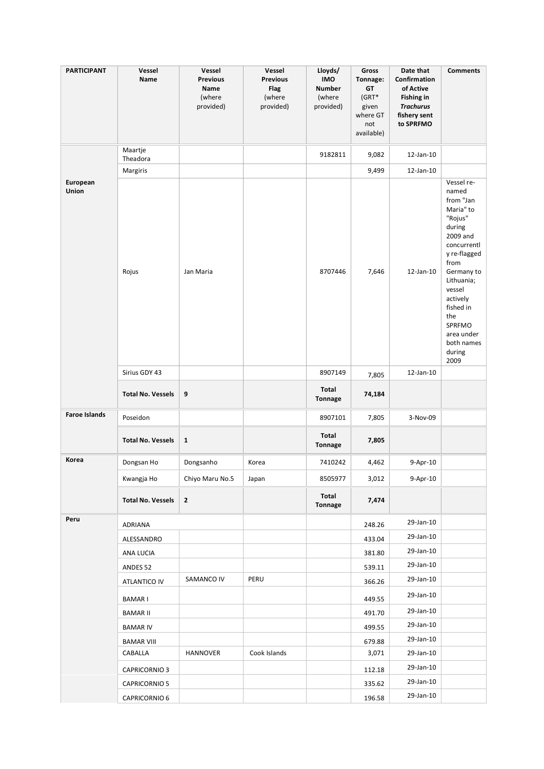| <b>PARTICIPANT</b>   | Vessel<br>Name           | Vessel<br><b>Previous</b><br>Name<br>(where<br>provided) | Vessel<br><b>Previous</b><br>Flag<br>(where<br>provided) | Lloyds/<br><b>IMO</b><br><b>Number</b><br>(where<br>provided) | Gross<br>Tonnage:<br>GT<br>$(GRT*$<br>given<br>where GT<br>not<br>available) | Date that<br>Confirmation<br>of Active<br><b>Fishing in</b><br><b>Trachurus</b><br>fishery sent<br>to SPRFMO | <b>Comments</b>                                                                                                                                                                                                                                     |
|----------------------|--------------------------|----------------------------------------------------------|----------------------------------------------------------|---------------------------------------------------------------|------------------------------------------------------------------------------|--------------------------------------------------------------------------------------------------------------|-----------------------------------------------------------------------------------------------------------------------------------------------------------------------------------------------------------------------------------------------------|
|                      | Maartje<br>Theadora      |                                                          |                                                          | 9182811                                                       | 9,082                                                                        | 12-Jan-10                                                                                                    |                                                                                                                                                                                                                                                     |
|                      | Margiris                 |                                                          |                                                          |                                                               | 9,499                                                                        | 12-Jan-10                                                                                                    |                                                                                                                                                                                                                                                     |
| European<br>Union    | Rojus                    | Jan Maria                                                |                                                          | 8707446                                                       | 7,646                                                                        | 12-Jan-10                                                                                                    | Vessel re-<br>named<br>from "Jan<br>Maria" to<br>"Rojus"<br>during<br>2009 and<br>concurrentl<br>y re-flagged<br>from<br>Germany to<br>Lithuania;<br>vessel<br>actively<br>fished in<br>the<br>SPRFMO<br>area under<br>both names<br>during<br>2009 |
|                      | Sirius GDY 43            |                                                          |                                                          | 8907149                                                       | 7,805                                                                        | 12-Jan-10                                                                                                    |                                                                                                                                                                                                                                                     |
|                      | <b>Total No. Vessels</b> | 9                                                        |                                                          | Total<br>Tonnage                                              | 74,184                                                                       |                                                                                                              |                                                                                                                                                                                                                                                     |
| <b>Faroe Islands</b> | Poseidon                 |                                                          |                                                          | 8907101                                                       | 7,805                                                                        | 3-Nov-09                                                                                                     |                                                                                                                                                                                                                                                     |
|                      | <b>Total No. Vessels</b> | $\mathbf{1}$                                             |                                                          | Total<br><b>Tonnage</b>                                       | 7,805                                                                        |                                                                                                              |                                                                                                                                                                                                                                                     |
| Korea                | Dongsan Ho               | Dongsanho                                                | Korea                                                    | 7410242                                                       | 4,462                                                                        | 9-Apr-10                                                                                                     |                                                                                                                                                                                                                                                     |
|                      | Kwangja Ho               | Chiyo Maru No.5                                          | Japan                                                    | 8505977                                                       | 3,012                                                                        | 9-Apr-10                                                                                                     |                                                                                                                                                                                                                                                     |
|                      | <b>Total No. Vessels</b> | $\mathbf{2}$                                             |                                                          | Total<br>Tonnage                                              | 7,474                                                                        |                                                                                                              |                                                                                                                                                                                                                                                     |
| Peru                 | ADRIANA                  |                                                          |                                                          |                                                               | 248.26                                                                       | 29-Jan-10                                                                                                    |                                                                                                                                                                                                                                                     |
|                      | ALESSANDRO               |                                                          |                                                          |                                                               | 433.04                                                                       | 29-Jan-10                                                                                                    |                                                                                                                                                                                                                                                     |
|                      | ANA LUCIA                |                                                          |                                                          |                                                               | 381.80                                                                       | 29-Jan-10                                                                                                    |                                                                                                                                                                                                                                                     |
|                      | ANDES <sub>52</sub>      |                                                          |                                                          |                                                               | 539.11                                                                       | 29-Jan-10                                                                                                    |                                                                                                                                                                                                                                                     |
|                      | ATLANTICO IV             | SAMANCO IV                                               | PERU                                                     |                                                               | 366.26                                                                       | 29-Jan-10                                                                                                    |                                                                                                                                                                                                                                                     |
|                      | <b>BAMARI</b>            |                                                          |                                                          |                                                               | 449.55                                                                       | 29-Jan-10                                                                                                    |                                                                                                                                                                                                                                                     |
|                      | <b>BAMAR II</b>          |                                                          |                                                          |                                                               | 491.70                                                                       | 29-Jan-10                                                                                                    |                                                                                                                                                                                                                                                     |
|                      | <b>BAMAR IV</b>          |                                                          |                                                          |                                                               | 499.55                                                                       | 29-Jan-10                                                                                                    |                                                                                                                                                                                                                                                     |
|                      | <b>BAMAR VIII</b>        |                                                          |                                                          |                                                               | 679.88                                                                       | 29-Jan-10                                                                                                    |                                                                                                                                                                                                                                                     |
|                      | CABALLA                  | HANNOVER                                                 | Cook Islands                                             |                                                               | 3,071                                                                        | 29-Jan-10                                                                                                    |                                                                                                                                                                                                                                                     |
|                      | <b>CAPRICORNIO 3</b>     |                                                          |                                                          |                                                               | 112.18                                                                       | 29-Jan-10                                                                                                    |                                                                                                                                                                                                                                                     |
|                      | <b>CAPRICORNIO 5</b>     |                                                          |                                                          |                                                               | 335.62                                                                       | 29-Jan-10                                                                                                    |                                                                                                                                                                                                                                                     |
|                      | CAPRICORNIO 6            |                                                          |                                                          |                                                               | 196.58                                                                       | 29-Jan-10                                                                                                    |                                                                                                                                                                                                                                                     |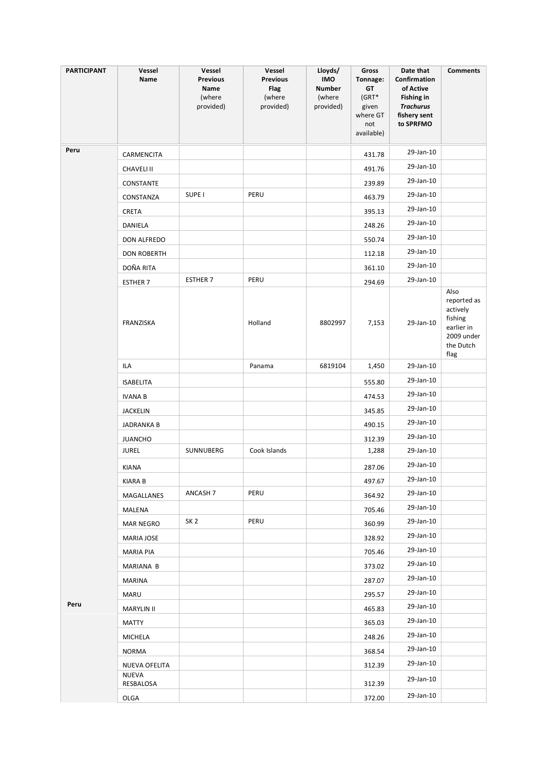| <b>PARTICIPANT</b> | Vessel<br>Name            | Vessel<br><b>Previous</b><br>Name<br>(where<br>provided) | Vessel<br><b>Previous</b><br><b>Flag</b><br>(where<br>provided) | Lloyds/<br><b>IMO</b><br>Number<br>(where<br>provided) | Gross<br>Tonnage:<br>GT<br>(GRT*<br>given<br>where GT<br>not<br>available) | Date that<br>Confirmation<br>of Active<br><b>Fishing in</b><br><b>Trachurus</b><br>fishery sent<br>to SPRFMO | <b>Comments</b>                                                                             |
|--------------------|---------------------------|----------------------------------------------------------|-----------------------------------------------------------------|--------------------------------------------------------|----------------------------------------------------------------------------|--------------------------------------------------------------------------------------------------------------|---------------------------------------------------------------------------------------------|
| Peru               | CARMENCITA                |                                                          |                                                                 |                                                        | 431.78                                                                     | 29-Jan-10                                                                                                    |                                                                                             |
|                    | <b>CHAVELI II</b>         |                                                          |                                                                 |                                                        | 491.76                                                                     | 29-Jan-10                                                                                                    |                                                                                             |
|                    | CONSTANTE                 |                                                          |                                                                 |                                                        | 239.89                                                                     | 29-Jan-10                                                                                                    |                                                                                             |
|                    | CONSTANZA                 | SUPE <sub>I</sub>                                        | PERU                                                            |                                                        | 463.79                                                                     | 29-Jan-10                                                                                                    |                                                                                             |
|                    | CRETA                     |                                                          |                                                                 |                                                        | 395.13                                                                     | 29-Jan-10                                                                                                    |                                                                                             |
|                    | DANIELA                   |                                                          |                                                                 |                                                        | 248.26                                                                     | 29-Jan-10                                                                                                    |                                                                                             |
|                    | DON ALFREDO               |                                                          |                                                                 |                                                        | 550.74                                                                     | 29-Jan-10                                                                                                    |                                                                                             |
|                    | <b>DON ROBERTH</b>        |                                                          |                                                                 |                                                        | 112.18                                                                     | 29-Jan-10                                                                                                    |                                                                                             |
|                    | DOÑA RITA                 |                                                          |                                                                 |                                                        | 361.10                                                                     | 29-Jan-10                                                                                                    |                                                                                             |
|                    | <b>ESTHER 7</b>           | <b>ESTHER 7</b>                                          | PERU                                                            |                                                        | 294.69                                                                     | 29-Jan-10                                                                                                    |                                                                                             |
|                    | FRANZISKA                 |                                                          | Holland                                                         | 8802997                                                | 7,153                                                                      | 29-Jan-10                                                                                                    | Also<br>reported as<br>actively<br>fishing<br>earlier in<br>2009 under<br>the Dutch<br>flag |
|                    | ILA                       |                                                          | Panama                                                          | 6819104                                                | 1,450                                                                      | 29-Jan-10                                                                                                    |                                                                                             |
|                    | <b>ISABELITA</b>          |                                                          |                                                                 |                                                        | 555.80                                                                     | 29-Jan-10                                                                                                    |                                                                                             |
|                    | <b>IVANA B</b>            |                                                          |                                                                 |                                                        | 474.53                                                                     | 29-Jan-10                                                                                                    |                                                                                             |
|                    | <b>JACKELIN</b>           |                                                          |                                                                 |                                                        | 345.85                                                                     | 29-Jan-10                                                                                                    |                                                                                             |
|                    | <b>JADRANKA B</b>         |                                                          |                                                                 |                                                        | 490.15                                                                     | 29-Jan-10                                                                                                    |                                                                                             |
|                    | <b>JUANCHO</b>            |                                                          |                                                                 |                                                        | 312.39                                                                     | 29-Jan-10                                                                                                    |                                                                                             |
|                    | <b>JUREL</b>              | SUNNUBERG                                                | Cook Islands                                                    |                                                        | 1,288                                                                      | 29-Jan-10                                                                                                    |                                                                                             |
|                    | KIANA                     |                                                          |                                                                 |                                                        | 287.06                                                                     | 29-Jan-10                                                                                                    |                                                                                             |
|                    | <b>KIARA B</b>            |                                                          |                                                                 |                                                        | 497.67                                                                     | 29-Jan-10                                                                                                    |                                                                                             |
|                    | MAGALLANES                | ANCASH 7                                                 | PERU                                                            |                                                        | 364.92                                                                     | 29-Jan-10                                                                                                    |                                                                                             |
|                    | MALENA                    |                                                          |                                                                 |                                                        | 705.46                                                                     | 29-Jan-10                                                                                                    |                                                                                             |
|                    | <b>MAR NEGRO</b>          | SK <sub>2</sub>                                          | PERU                                                            |                                                        | 360.99                                                                     | 29-Jan-10                                                                                                    |                                                                                             |
|                    | MARIA JOSE                |                                                          |                                                                 |                                                        | 328.92                                                                     | 29-Jan-10                                                                                                    |                                                                                             |
|                    | MARIA PIA                 |                                                          |                                                                 |                                                        | 705.46                                                                     | 29-Jan-10                                                                                                    |                                                                                             |
|                    | MARIANA B                 |                                                          |                                                                 |                                                        | 373.02                                                                     | 29-Jan-10                                                                                                    |                                                                                             |
|                    | MARINA                    |                                                          |                                                                 |                                                        | 287.07                                                                     | 29-Jan-10                                                                                                    |                                                                                             |
|                    | MARU                      |                                                          |                                                                 |                                                        | 295.57                                                                     | 29-Jan-10                                                                                                    |                                                                                             |
| Peru               | <b>MARYLIN II</b>         |                                                          |                                                                 |                                                        | 465.83                                                                     | 29-Jan-10                                                                                                    |                                                                                             |
|                    | MATTY                     |                                                          |                                                                 |                                                        | 365.03                                                                     | 29-Jan-10                                                                                                    |                                                                                             |
|                    | MICHELA                   |                                                          |                                                                 |                                                        | 248.26                                                                     | 29-Jan-10                                                                                                    |                                                                                             |
|                    | NORMA                     |                                                          |                                                                 |                                                        | 368.54                                                                     | 29-Jan-10                                                                                                    |                                                                                             |
|                    | NUEVA OFELITA             |                                                          |                                                                 |                                                        | 312.39                                                                     | 29-Jan-10                                                                                                    |                                                                                             |
|                    | <b>NUEVA</b><br>RESBALOSA |                                                          |                                                                 |                                                        | 312.39                                                                     | 29-Jan-10                                                                                                    |                                                                                             |
|                    | OLGA                      |                                                          |                                                                 |                                                        | 372.00                                                                     | 29-Jan-10                                                                                                    |                                                                                             |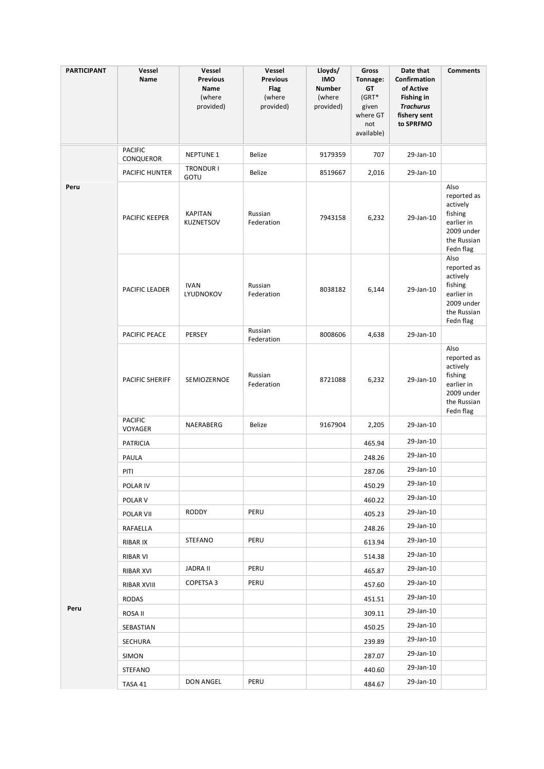| <b>PARTICIPANT</b> | Vessel<br>Name              | Vessel<br><b>Previous</b>          | Vessel<br><b>Previous</b>   | Lloyds/<br><b>IMO</b>                | Gross<br>Tonnage:                                       | Date that<br>Confirmation                                                       | <b>Comments</b>                                                                                    |
|--------------------|-----------------------------|------------------------------------|-----------------------------|--------------------------------------|---------------------------------------------------------|---------------------------------------------------------------------------------|----------------------------------------------------------------------------------------------------|
|                    |                             | Name<br>(where<br>provided)        | Flag<br>(where<br>provided) | <b>Number</b><br>(where<br>provided) | GT<br>$(GRT*$<br>given<br>where GT<br>not<br>available) | of Active<br><b>Fishing in</b><br><b>Trachurus</b><br>fishery sent<br>to SPRFMO |                                                                                                    |
|                    | <b>PACIFIC</b><br>CONQUEROR | <b>NEPTUNE 1</b>                   | Belize                      | 9179359                              | 707                                                     | 29-Jan-10                                                                       |                                                                                                    |
|                    | PACIFIC HUNTER              | <b>TRONDUR I</b><br>GOTU           | Belize                      | 8519667                              | 2,016                                                   | 29-Jan-10                                                                       |                                                                                                    |
| Peru               | PACIFIC KEEPER              | <b>KAPITAN</b><br><b>KUZNETSOV</b> | Russian<br>Federation       | 7943158                              | 6,232                                                   | 29-Jan-10                                                                       | Also<br>reported as<br>actively<br>fishing<br>earlier in<br>2009 under<br>the Russian<br>Fedn flag |
|                    | PACIFIC LEADER              | <b>IVAN</b><br>LYUDNOKOV           | Russian<br>Federation       | 8038182                              | 6,144                                                   | 29-Jan-10                                                                       | Also<br>reported as<br>actively<br>fishing<br>earlier in<br>2009 under<br>the Russian<br>Fedn flag |
|                    | PACIFIC PEACE               | PERSEY                             | Russian<br>Federation       | 8008606                              | 4,638                                                   | 29-Jan-10                                                                       |                                                                                                    |
|                    | <b>PACIFIC SHERIFF</b>      | SEMIOZERNOE                        | Russian<br>Federation       | 8721088                              | 6,232                                                   | 29-Jan-10                                                                       | Also<br>reported as<br>actively<br>fishing<br>earlier in<br>2009 under<br>the Russian<br>Fedn flag |
|                    | <b>PACIFIC</b><br>VOYAGER   | NAERABERG                          | Belize                      | 9167904                              | 2,205                                                   | 29-Jan-10                                                                       |                                                                                                    |
|                    | <b>PATRICIA</b>             |                                    |                             |                                      | 465.94                                                  | 29-Jan-10                                                                       |                                                                                                    |
|                    | PAULA                       |                                    |                             |                                      | 248.26                                                  | 29-Jan-10                                                                       |                                                                                                    |
|                    | PITI                        |                                    |                             |                                      | 287.06                                                  | 29-Jan-10                                                                       |                                                                                                    |
|                    | POLAR IV                    |                                    |                             |                                      | 450.29                                                  | 29-Jan-10                                                                       |                                                                                                    |
|                    | POLAR V                     |                                    |                             |                                      | 460.22                                                  | 29-Jan-10                                                                       |                                                                                                    |
|                    | POLAR VII                   | RODDY                              | PERU                        |                                      | 405.23                                                  | 29-Jan-10                                                                       |                                                                                                    |
|                    | RAFAELLA                    |                                    |                             |                                      | 248.26                                                  | 29-Jan-10                                                                       |                                                                                                    |
|                    | RIBAR IX                    | <b>STEFANO</b>                     | PERU                        |                                      | 613.94                                                  | 29-Jan-10                                                                       |                                                                                                    |
|                    | RIBAR VI                    |                                    |                             |                                      | 514.38                                                  | 29-Jan-10                                                                       |                                                                                                    |
|                    | RIBAR XVI                   | JADRA II                           | PERU                        |                                      | 465.87                                                  | 29-Jan-10                                                                       |                                                                                                    |
|                    | RIBAR XVIII                 | COPETSA 3                          | PERU                        |                                      | 457.60                                                  | 29-Jan-10                                                                       |                                                                                                    |
|                    | RODAS                       |                                    |                             |                                      | 451.51                                                  | 29-Jan-10                                                                       |                                                                                                    |
| Peru               | ROSA II                     |                                    |                             |                                      | 309.11                                                  | 29-Jan-10                                                                       |                                                                                                    |
|                    | SEBASTIAN                   |                                    |                             |                                      | 450.25                                                  | 29-Jan-10                                                                       |                                                                                                    |
|                    | SECHURA                     |                                    |                             |                                      | 239.89                                                  | 29-Jan-10                                                                       |                                                                                                    |
|                    | SIMON                       |                                    |                             |                                      | 287.07                                                  | 29-Jan-10                                                                       |                                                                                                    |
|                    | STEFANO                     |                                    |                             |                                      | 440.60                                                  | 29-Jan-10                                                                       |                                                                                                    |
|                    | TASA 41                     | DON ANGEL                          | PERU                        |                                      | 484.67                                                  | 29-Jan-10                                                                       |                                                                                                    |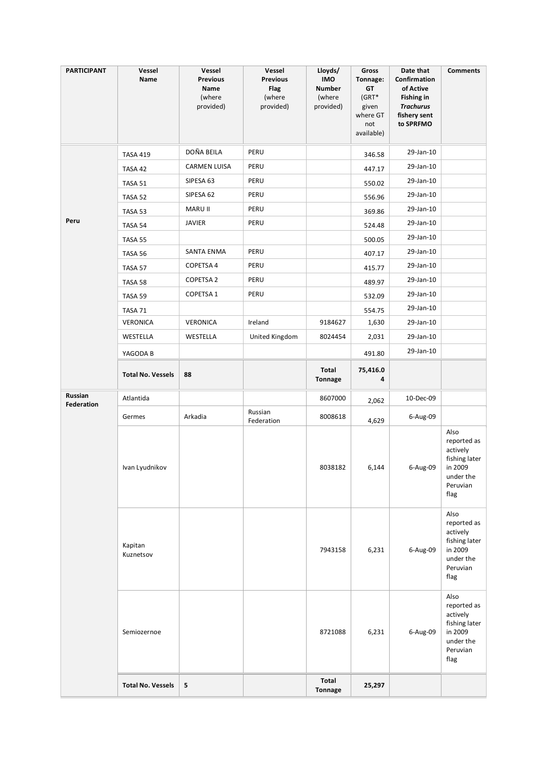| <b>PARTICIPANT</b>           | Vessel<br>Name           | Vessel<br><b>Previous</b><br>Name<br>(where<br>provided) | Vessel<br><b>Previous</b><br><b>Flag</b><br>(where<br>provided) | Lloyds/<br><b>IMO</b><br><b>Number</b><br>(where<br>provided) | Gross<br>Tonnage:<br>GT<br>$(GRT*$<br>given<br>where GT<br>not<br>available) | Date that<br>Confirmation<br>of Active<br><b>Fishing in</b><br><b>Trachurus</b><br>fishery sent<br>to SPRFMO | <b>Comments</b>                                                                              |
|------------------------------|--------------------------|----------------------------------------------------------|-----------------------------------------------------------------|---------------------------------------------------------------|------------------------------------------------------------------------------|--------------------------------------------------------------------------------------------------------------|----------------------------------------------------------------------------------------------|
|                              | <b>TASA 419</b>          | DOÑA BEILA                                               | PERU                                                            |                                                               | 346.58                                                                       | 29-Jan-10                                                                                                    |                                                                                              |
|                              | TASA 42                  | <b>CARMEN LUISA</b>                                      | PERU                                                            |                                                               | 447.17                                                                       | 29-Jan-10                                                                                                    |                                                                                              |
|                              | TASA 51                  | SIPESA 63                                                | PERU                                                            |                                                               | 550.02                                                                       | 29-Jan-10                                                                                                    |                                                                                              |
|                              | TASA 52                  | SIPESA 62                                                | PERU                                                            |                                                               | 556.96                                                                       | 29-Jan-10                                                                                                    |                                                                                              |
|                              | TASA 53                  | MARU II                                                  | PERU                                                            |                                                               | 369.86                                                                       | 29-Jan-10                                                                                                    |                                                                                              |
| Peru                         | TASA 54                  | <b>JAVIER</b>                                            | PERU                                                            |                                                               | 524.48                                                                       | 29-Jan-10                                                                                                    |                                                                                              |
|                              | TASA 55                  |                                                          |                                                                 |                                                               | 500.05                                                                       | 29-Jan-10                                                                                                    |                                                                                              |
|                              | TASA 56                  | SANTA ENMA                                               | PERU                                                            |                                                               | 407.17                                                                       | 29-Jan-10                                                                                                    |                                                                                              |
|                              | TASA 57                  | COPETSA 4                                                | PERU                                                            |                                                               | 415.77                                                                       | 29-Jan-10                                                                                                    |                                                                                              |
|                              | TASA 58                  | <b>COPETSA 2</b>                                         | PERU                                                            |                                                               | 489.97                                                                       | 29-Jan-10                                                                                                    |                                                                                              |
|                              | TASA 59                  | COPETSA 1                                                | PERU                                                            |                                                               | 532.09                                                                       | 29-Jan-10                                                                                                    |                                                                                              |
|                              | TASA 71                  |                                                          |                                                                 |                                                               | 554.75                                                                       | 29-Jan-10                                                                                                    |                                                                                              |
|                              | <b>VERONICA</b>          | VERONICA                                                 | Ireland                                                         | 9184627                                                       | 1,630                                                                        | 29-Jan-10                                                                                                    |                                                                                              |
|                              | WESTELLA                 | WESTELLA                                                 | United Kingdom                                                  | 8024454                                                       | 2,031                                                                        | 29-Jan-10                                                                                                    |                                                                                              |
|                              | YAGODA B                 |                                                          |                                                                 |                                                               | 491.80                                                                       | 29-Jan-10                                                                                                    |                                                                                              |
|                              | <b>Total No. Vessels</b> | 88                                                       |                                                                 | Total<br><b>Tonnage</b>                                       | 75,416.0<br>4                                                                |                                                                                                              |                                                                                              |
| Russian<br><b>Federation</b> | Atlantida                |                                                          |                                                                 | 8607000                                                       | 2,062                                                                        | 10-Dec-09                                                                                                    |                                                                                              |
|                              | Germes                   | Arkadia                                                  | Russian<br>Federation                                           | 8008618                                                       | 4,629                                                                        | 6-Aug-09                                                                                                     |                                                                                              |
|                              | Ivan Lyudnikov           |                                                          |                                                                 | 8038182                                                       | 6,144                                                                        | 6-Aug-09                                                                                                     | Also<br>reported as<br>actively<br>fishing later<br>in 2009<br>under the<br>Peruvian<br>flag |
|                              | Kapitan<br>Kuznetsov     |                                                          |                                                                 | 7943158                                                       | 6,231                                                                        | 6-Aug-09                                                                                                     | Also<br>reported as<br>actively<br>fishing later<br>in 2009<br>under the<br>Peruvian<br>flag |
|                              | Semiozernoe              |                                                          |                                                                 | 8721088                                                       | 6,231                                                                        | 6-Aug-09                                                                                                     | Also<br>reported as<br>actively<br>fishing later<br>in 2009<br>under the<br>Peruvian<br>flag |
|                              | <b>Total No. Vessels</b> | 5                                                        |                                                                 | Total<br>Tonnage                                              | 25,297                                                                       |                                                                                                              |                                                                                              |